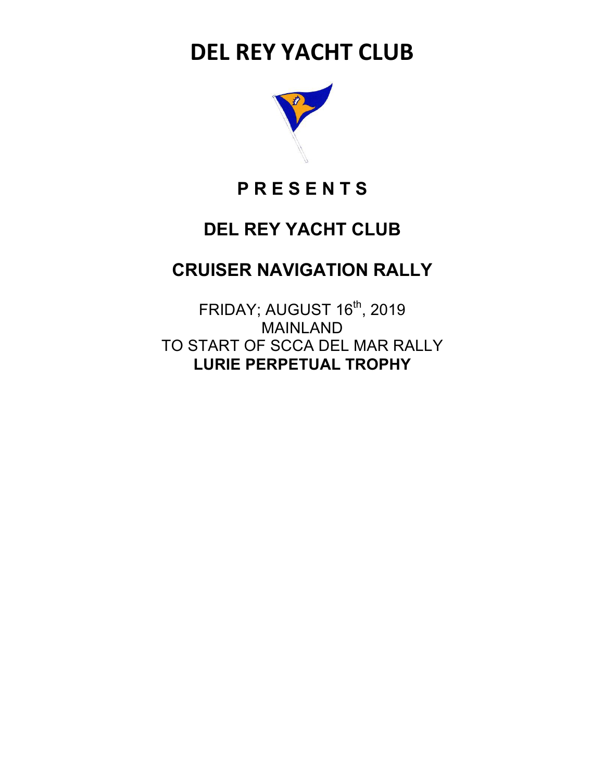# **DEL REY YACHT CLUB**



## **P R E S E N T S**

## **DEL REY YACHT CLUB**

## **CRUISER NAVIGATION RALLY**

FRIDAY; AUGUST 16<sup>th</sup>, 2019 MAINLAND TO START OF SCCA DEL MAR RALLY **LURIE PERPETUAL TROPHY**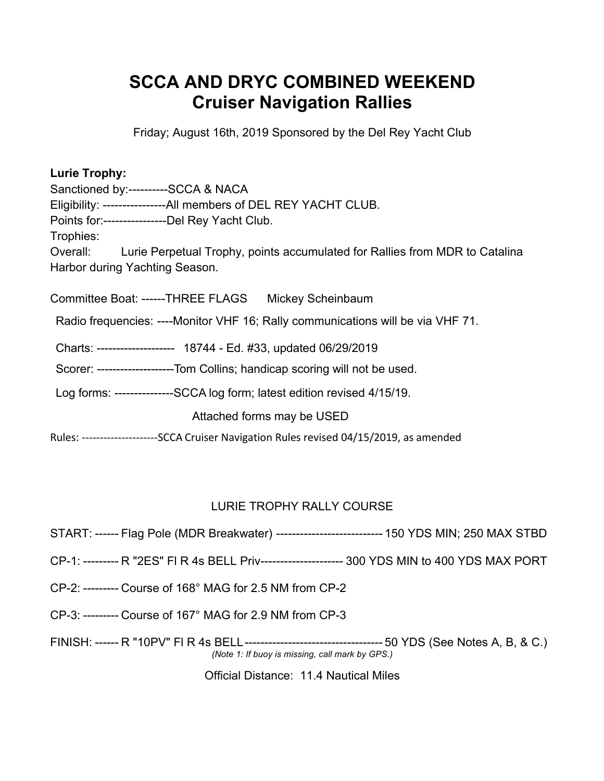## **SCCA AND DRYC COMBINED WEEKEND Cruiser Navigation Rallies**

Friday; August 16th, 2019 Sponsored by the Del Rey Yacht Club

### **Lurie Trophy:**

Sanctioned by:----------SCCA & NACA Eligibility: ----------------All members of DEL REY YACHT CLUB. Points for:----------------Del Rey Yacht Club. Trophies: Overall: Lurie Perpetual Trophy, points accumulated for Rallies from MDR to Catalina Harbor during Yachting Season.

Committee Boat: ------THREE FLAGS Mickey Scheinbaum

Radio frequencies: ----Monitor VHF 16; Rally communications will be via VHF 71.

Charts: -------------------- 18744 - Ed. #33, updated 06/29/2019

Scorer: ----------------------Tom Collins; handicap scoring will not be used.

Log forms: ---------------SCCA log form; latest edition revised 4/15/19.

Attached forms may be USED

Rules: ---------------------SCCA Cruiser Navigation Rules revised 04/15/2019, as amended

### LURIE TROPHY RALLY COURSE

- START: ------ Flag Pole (MDR Breakwater) --------------------------- 150 YDS MIN; 250 MAX STBD
- CP-1: --------- R "2ES" Fl R 4s BELL Priv--------------------- 300 YDS MIN to 400 YDS MAX PORT
- CP-2: --------- Course of 168° MAG for 2.5 NM from CP-2
- CP-3: --------- Course of 167° MAG for 2.9 NM from CP-3

FINISH: ------ R "10PV" Fl R 4s BELL----------------------------------- 50 YDS (See Notes A, B, & C.) *(Note 1: If buoy is missing, call mark by GPS.)*

Official Distance: 11.4 Nautical Miles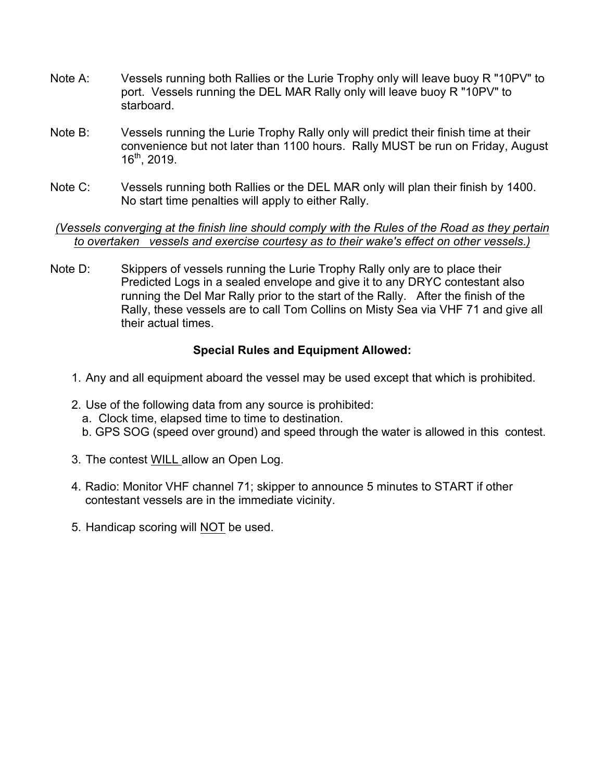- Note A: Vessels running both Rallies or the Lurie Trophy only will leave buoy R "10PV" to port. Vessels running the DEL MAR Rally only will leave buoy R "10PV" to starboard.
- Note B: Vessels running the Lurie Trophy Rally only will predict their finish time at their convenience but not later than 1100 hours. Rally MUST be run on Friday, August 16th, 2019.
- Note C: Vessels running both Rallies or the DEL MAR only will plan their finish by 1400. No start time penalties will apply to either Rally.

#### *(Vessels converging at the finish line should comply with the Rules of the Road as they pertain to overtaken vessels and exercise courtesy as to their wake's effect on other vessels.)*

Note D: Skippers of vessels running the Lurie Trophy Rally only are to place their Predicted Logs in a sealed envelope and give it to any DRYC contestant also running the Del Mar Rally prior to the start of the Rally. After the finish of the Rally, these vessels are to call Tom Collins on Misty Sea via VHF 71 and give all their actual times.

### **Special Rules and Equipment Allowed:**

- 1. Any and all equipment aboard the vessel may be used except that which is prohibited.
- 2. Use of the following data from any source is prohibited: a. Clock time, elapsed time to time to destination. b. GPS SOG (speed over ground) and speed through the water is allowed in this contest.
- 3. The contest WILL allow an Open Log.
- 4. Radio: Monitor VHF channel 71; skipper to announce 5 minutes to START if other contestant vessels are in the immediate vicinity.
- 5. Handicap scoring will NOT be used.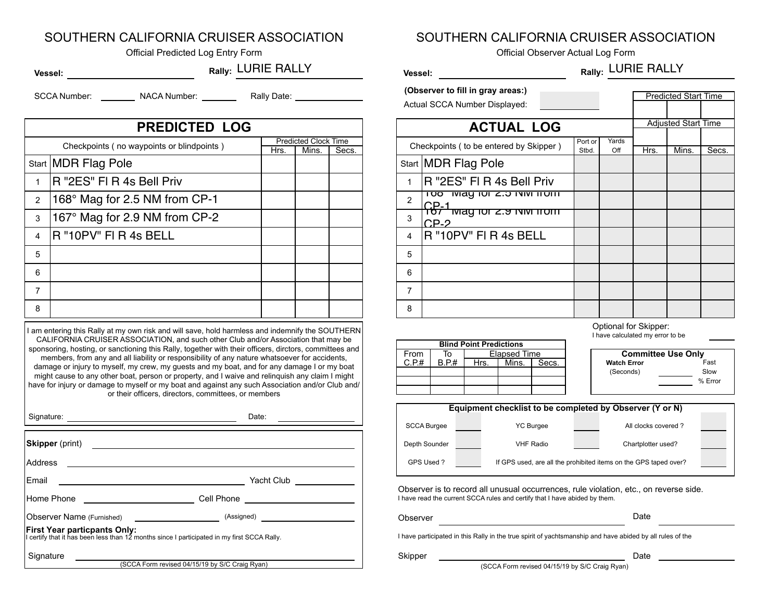### SOUTHERN CALIFORNIA CRUISER ASSOCIATION

Official Predicted Log Entry Form **Community** Community Community Community Community Community Community Community Community Community Community Community Community Community Community Community Community Community Commun

#### **Rally: Rally:** LURIE RALLY **Vessel:**

SCCA Number: \_\_\_\_\_\_\_\_\_\_ NACA Number: \_\_\_\_\_\_\_\_\_\_ Rally Date:

| <b>PREDICTED LOG</b> |                                           |      |                             |       |  |  |
|----------------------|-------------------------------------------|------|-----------------------------|-------|--|--|
|                      | Checkpoints (no waypoints or blindpoints) |      | <b>Predicted Clock Time</b> |       |  |  |
|                      | Start MDR Flag Pole                       | Hrs. | Mins.                       | Secs. |  |  |
| $\mathbf{1}$         | R "2ES" FI R 4s Bell Priv                 |      |                             |       |  |  |
| 2                    | 168° Mag for 2.5 NM from CP-1             |      |                             |       |  |  |
| 3                    | 167° Mag for 2.9 NM from CP-2             |      |                             |       |  |  |
| 4                    | R "10PV" FI R 4s BELL                     |      |                             |       |  |  |
| 5                    |                                           |      |                             |       |  |  |
| 6                    |                                           |      |                             |       |  |  |
| $\overline{7}$       |                                           |      |                             |       |  |  |
| 8                    |                                           |      |                             |       |  |  |
|                      |                                           |      |                             |       |  |  |

I am entering this Rally at my own risk and will save, hold harmless and indemnify the SOUTHERN CALIFORNIA CRUISER ASSOCIATION, and such other Club and/or Association that may be sponsoring, hosting, or sanctioning this Rally, together with their officers, dirctors, committees and members, from any and all liability or responsibility of any nature whatsoever for accidents, damage or injury to myself, my crew, my guests and my boat, and for any damage I or my boat might cause to any other boat, person or property, and I waive and relinquish any claim I might have for injury or damage to myself or my boat and against any such Association and/or Club and/ or their officers, directors, committees, or members

| Signature: <u>Contract of the Contract of the Contract of the Contract of the Contract of the Contract of the Contract of the Contract of the Contract of the Contract of the Contract of the Contract of the Contract of the Co</u> | Date:<br><u> The Communication of the Communication of the Communication of the Communication of the Communication of the Communication of the Communication of the Communication of the Communication of the Communication of the Commun</u> |
|--------------------------------------------------------------------------------------------------------------------------------------------------------------------------------------------------------------------------------------|-----------------------------------------------------------------------------------------------------------------------------------------------------------------------------------------------------------------------------------------------|
|                                                                                                                                                                                                                                      |                                                                                                                                                                                                                                               |
| Address                                                                                                                                                                                                                              |                                                                                                                                                                                                                                               |
| Email<br><u> 1989 - Andrea Andrew Maria (h. 1989).</u>                                                                                                                                                                               |                                                                                                                                                                                                                                               |
| Home Phone ________________________                                                                                                                                                                                                  | Cell Phone <u>__________________</u>                                                                                                                                                                                                          |
|                                                                                                                                                                                                                                      |                                                                                                                                                                                                                                               |
| <b>First Year particpants Only:</b><br>I certify that it has been less than 12 months since I participated in my first SCCA Rally.                                                                                                   |                                                                                                                                                                                                                                               |
| Signature                                                                                                                                                                                                                            |                                                                                                                                                                                                                                               |
|                                                                                                                                                                                                                                      | (SCCA Form revised 04/15/19 by S/C Craig Ryan)                                                                                                                                                                                                |

SOUTHERN CALIFORNIA CRUISER ASSOCIATION

Rally: LURIE RALLY

**(Observer to fill in gray areas:)**

**Vessel:**

| 00301 VGL to the the gray arcas.       |         |       |  | <b>Predicted Start Time</b> |  |  |
|----------------------------------------|---------|-------|--|-----------------------------|--|--|
| ctual SCCA Number Displayed:           |         |       |  |                             |  |  |
|                                        |         |       |  |                             |  |  |
| <b>ACTUAL LOG</b>                      |         |       |  | <b>Adjusted Start Time</b>  |  |  |
|                                        |         |       |  |                             |  |  |
| Chookpoints (to be optered by Skinner) | Port or | Yards |  |                             |  |  |

| Crieckpolities (to be entered by Skipper) |                                                    | Stbd. | Off | Hrs. | Mins. | Secs. |
|-------------------------------------------|----------------------------------------------------|-------|-----|------|-------|-------|
|                                           | Start MDR Flag Pole                                |       |     |      |       |       |
| 1                                         | R "2ES" FI R 4s Bell Priv                          |       |     |      |       |       |
| $\overline{2}$                            | <u>100 May 101 2.5 NW HOME</u><br>∩P-1             |       |     |      |       |       |
| 3                                         | $\overline{1}$ Middle to 12.9 TVINT TTOTTT<br>CP-2 |       |     |      |       |       |
| 4                                         | R "10PV" FI R 4s BELL                              |       |     |      |       |       |
| 5                                         |                                                    |       |     |      |       |       |
| 6                                         |                                                    |       |     |      |       |       |
| 7                                         |                                                    |       |     |      |       |       |
| 8                                         |                                                    |       |     |      |       |       |

#### Optional for Skipper:

Slow

% Error

| <b>Committee Use Only</b> |
|---------------------------|
| Fast                      |
| Slow                      |
| $%$ Err                   |
|                           |
|                           |

| Equipment checklist to be completed by Observer (Y or N) |  |                                                                  |  |                     |  |  |  |
|----------------------------------------------------------|--|------------------------------------------------------------------|--|---------------------|--|--|--|
| <b>SCCA Burgee</b>                                       |  | <b>YC Burgee</b>                                                 |  | All clocks covered? |  |  |  |
| Depth Sounder                                            |  | <b>VHF Radio</b>                                                 |  | Chartplotter used?  |  |  |  |
| GPS Used?                                                |  | If GPS used, are all the prohibited items on the GPS taped over? |  |                     |  |  |  |

I have read the current SCCA rules and certify that I have abided by them. Observer is to record all unusual occurrences, rule violation, etc., on reverse side.

| Observer | Date |
|----------|------|
|----------|------|

I have participated in this Rally in the true spirit of yachtsmanship and have abided by all rules of the

Skipper Date

(SCCA Form revised 04/15/19 by S/C Craig Ryan)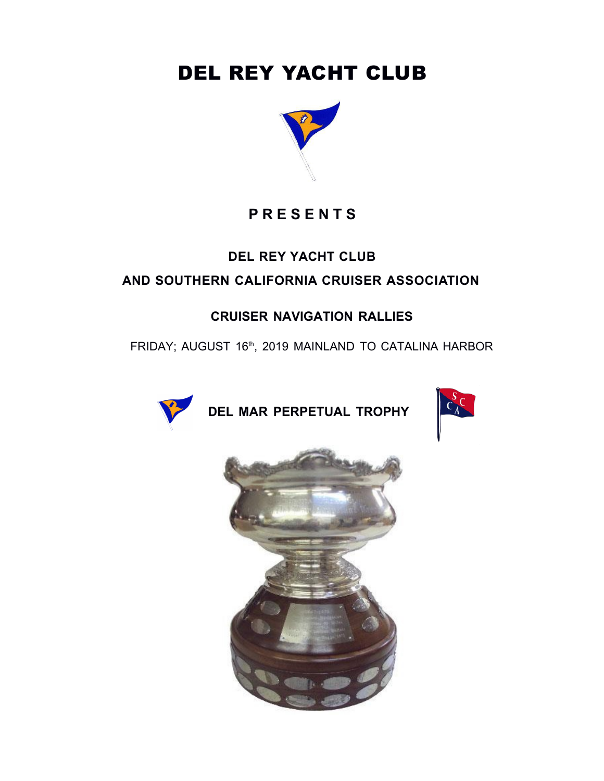# DEL REY YACHT CLUB



## **P R E S E N T S**

### **DEL REY YACHT CLUB**

### **AND SOUTHERN CALIFORNIA CRUISER ASSOCIATION**

### **CRUISER NAVIGATION RALLIES**

FRIDAY; AUGUST 16th, 2019 MAINLAND TO CATALINA HARBOR



**DEL MAR PERPETUAL TROPHY**



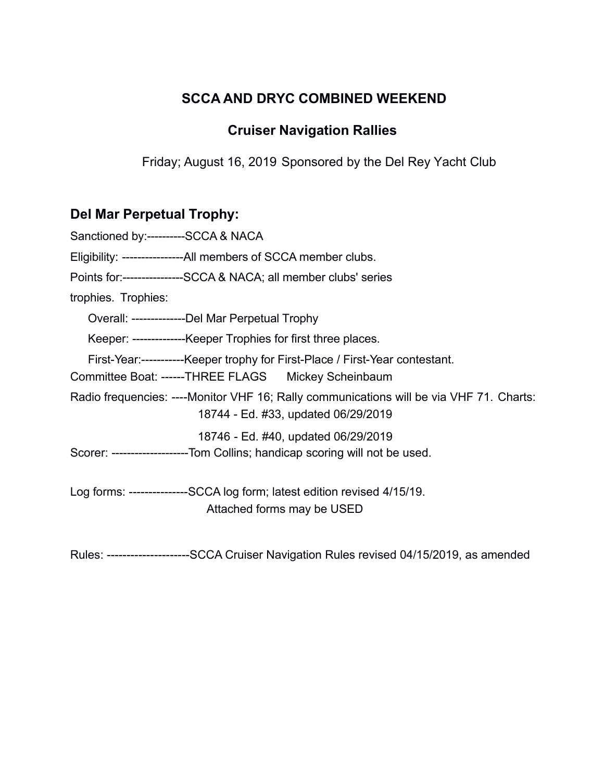### **SCCA AND DRYC COMBINED WEEKEND**

### **Cruiser Navigation Rallies**

Friday; August 16, 2019 Sponsored by the Del Rey Yacht Club

## **Del Mar Perpetual Trophy:**

| Sanctioned by:---------SCCA & NACA                                                                                             |
|--------------------------------------------------------------------------------------------------------------------------------|
| Eligibility: -----------------All members of SCCA member clubs.                                                                |
| Points for:---------------SCCA & NACA; all member clubs' series                                                                |
| trophies. Trophies:                                                                                                            |
| Overall: ---------------Del Mar Perpetual Trophy                                                                               |
| Keeper: ---------------Keeper Trophies for first three places.                                                                 |
| First-Year:------------Keeper trophy for First-Place / First-Year contestant.                                                  |
| Committee Boat: ------THREE FLAGS Mickey Scheinbaum                                                                            |
| Radio frequencies: ----Monitor VHF 16; Rally communications will be via VHF 71. Charts:<br>18744 - Ed. #33, updated 06/29/2019 |
| 18746 - Ed. #40, updated 06/29/2019                                                                                            |
| Scorer: --------------------Tom Collins; handicap scoring will not be used.                                                    |
| Log forms: ---------------SCCA log form; latest edition revised 4/15/19.                                                       |
| Attached forms may be USED                                                                                                     |

Rules: ---------------------SCCA Cruiser Navigation Rules revised 04/15/2019, as amended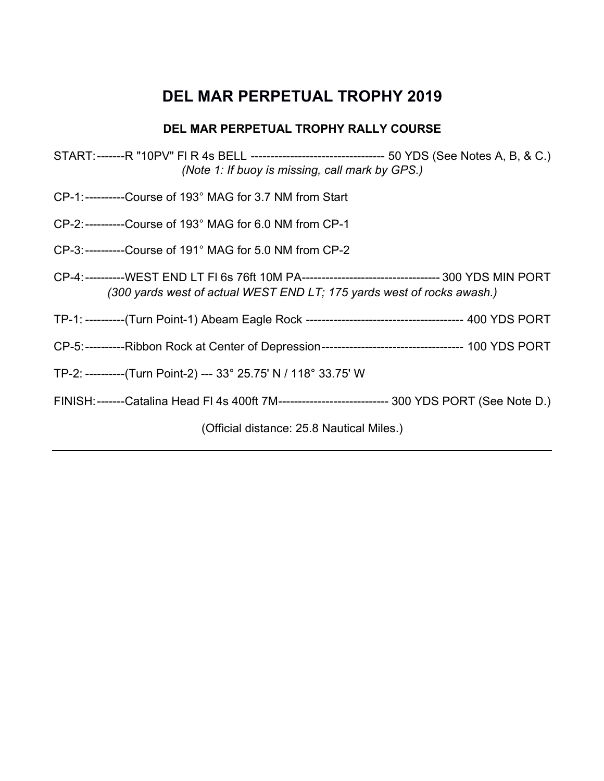## **DEL MAR PERPETUAL TROPHY 2019**

### **DEL MAR PERPETUAL TROPHY RALLY COURSE**

- START:-------R "10PV" Fl R 4s BELL ---------------------------------- 50 YDS (See Notes A, B, & C.) *(Note 1: If buoy is missing, call mark by GPS.)*
- CP-1:----------Course of 193° MAG for 3.7 NM from Start
- CP-2:----------Course of 193° MAG for 6.0 NM from CP-1
- CP-3:---------- Course of 191° MAG for 5.0 NM from CP-2
- CP-4:---------- WEST END LT Fl 6s 76ft 10M PA ----------------------------------- 300 YDS MIN PORT *(300 yards west of actual WEST END LT; 175 yards west of rocks awash.)*
- TP-1: ----------(Turn Point-1) Abeam Eagle Rock ---------------------------------------- 400 YDS PORT
- CP-5:----------Ribbon Rock at Center of Depression------------------------------------ 100 YDS PORT
- TP-2: ----------(Turn Point-2) --- 33° 25.75' N / 118° 33.75' W
- FINISH:-------Catalina Head Fl 4s 400ft 7M---------------------------- 300 YDS PORT (See Note D.)

(Official distance: 25.8 Nautical Miles.)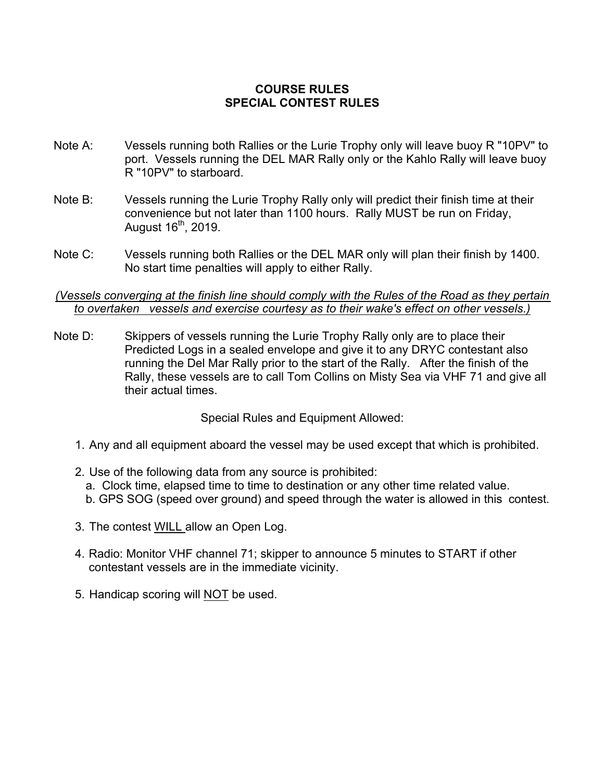### **COURSE RULES SPECIAL CONTEST RULES**

- Note A: Vessels running both Rallies or the Lurie Trophy only will leave buoy R "10PV" to port. Vessels running the DEL MAR Rally only or the Kahlo Rally will leave buoy R "10PV" to starboard.
- Note B: Vessels running the Lurie Trophy Rally only will predict their finish time at their convenience but not later than 1100 hours. Rally MUST be run on Friday, August 16<sup>th</sup>, 2019.
- Note C: Vessels running both Rallies or the DEL MAR only will plan their finish by 1400. No start time penalties will apply to either Rally.

#### *(Vessels converging at the finish line should comply with the Rules of the Road as they pertain to overtaken vessels and exercise courtesy as to their wake's effect on other vessels.)*

Note D: Skippers of vessels running the Lurie Trophy Rally only are to place their Predicted Logs in a sealed envelope and give it to any DRYC contestant also running the Del Mar Rally prior to the start of the Rally. After the finish of the Rally, these vessels are to call Tom Collins on Misty Sea via VHF 71 and give all their actual times.

Special Rules and Equipment Allowed:

- 1. Any and all equipment aboard the vessel may be used except that which is prohibited.
- 2. Use of the following data from any source is prohibited: a. Clock time, elapsed time to time to destination or any other time related value. b. GPS SOG (speed over ground) and speed through the water is allowed in this contest.
- 3. The contest WILL allow an Open Log.
- 4. Radio: Monitor VHF channel 71; skipper to announce 5 minutes to START if other contestant vessels are in the immediate vicinity.
- 5. Handicap scoring will NOT be used.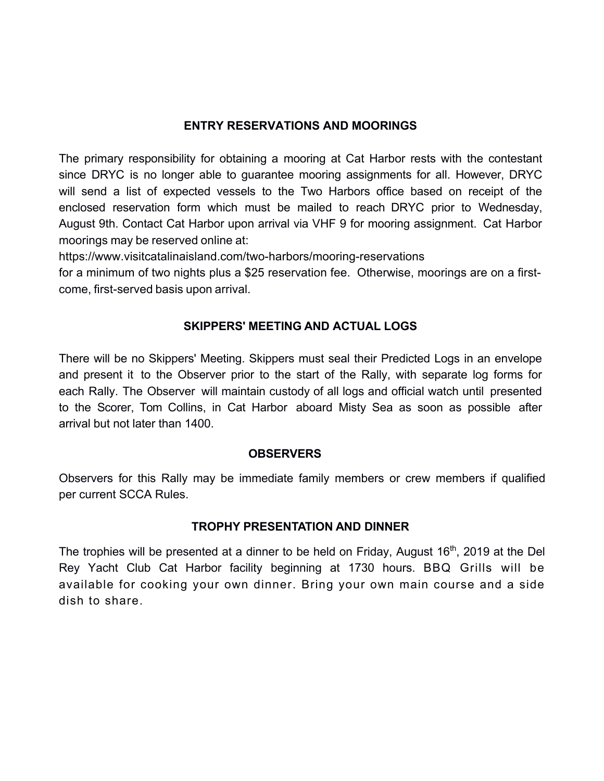### **ENTRY RESERVATIONS AND MOORINGS**

The primary responsibility for obtaining a mooring at Cat Harbor rests with the contestant since DRYC is no longer able to guarantee mooring assignments for all. However, DRYC will send a list of expected vessels to the Two Harbors office based on receipt of the enclosed reservation form which must be mailed to reach DRYC prior to Wednesday, August 9th. Contact Cat Harbor upon arrival via VHF 9 for mooring assignment. Cat Harbor moorings may be reserved online at:

https://www.visitcatalinaisland.com/two-harbors/mooring-reservations

for a minimum of two nights plus a \$25 reservation fee. Otherwise, moorings are on a firstcome, first-served basis upon arrival.

#### **SKIPPERS' MEETING AND ACTUAL LOGS**

There will be no Skippers' Meeting. Skippers must seal their Predicted Logs in an envelope and present it to the Observer prior to the start of the Rally, with separate log forms for each Rally. The Observer will maintain custody of all logs and official watch until presented to the Scorer, Tom Collins, in Cat Harbor aboard Misty Sea as soon as possible after arrival but not later than 1400.

#### **OBSERVERS**

Observers for this Rally may be immediate family members or crew members if qualified per current SCCA Rules.

#### **TROPHY PRESENTATION AND DINNER**

The trophies will be presented at a dinner to be held on Friday, August 16<sup>th</sup>, 2019 at the Del Rey Yacht Club Cat Harbor facility beginning at 1730 hours. BBQ Grills will be available for cooking your own dinner. Bring your own main course and a side dish to share.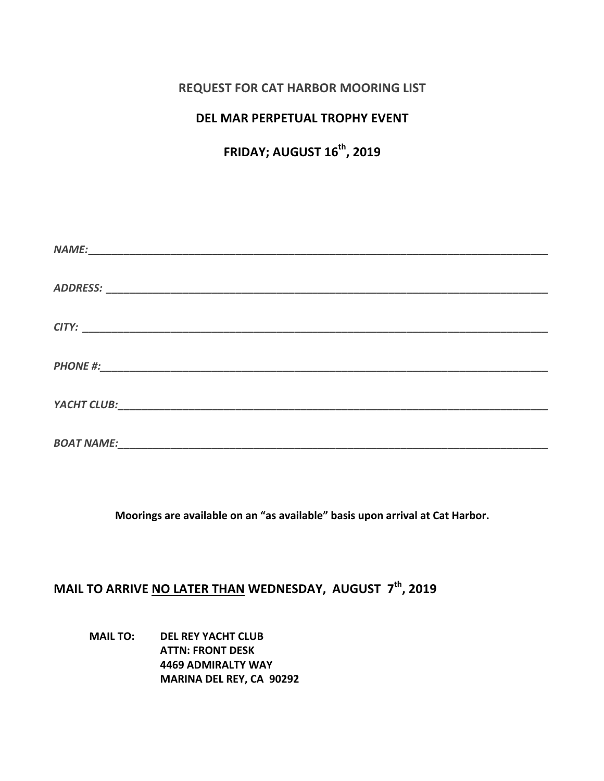### **REQUEST FOR CAT HARBOR MOORING LIST**

### **DEL MAR PERPETUAL TROPHY EVENT**

### **FRIDAY; AUGUST 16th, 2019**

Moorings are available on an "as available" basis upon arrival at Cat Harbor.

### **MAIL TO ARRIVE NO LATER THAN WEDNESDAY, AUGUST**  $7^{th}$ **, 2019**

**MAIL TO: DEL REY YACHT CLUB ATTN: FRONT DESK 4469 ADMIRALTY WAY MARINA DEL REY, CA 90292**